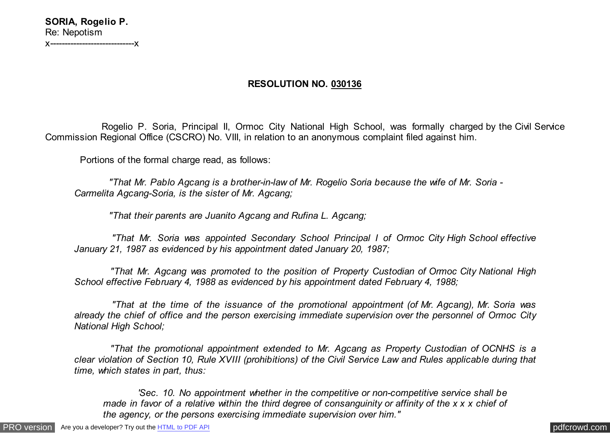## **RESOLUTION NO. 030136**

 Rogelio P. Soria, Principal II, Ormoc City National High School, was formally charged by the Civil Service Commission Regional Office (CSCRO) No. VIII, in relation to an anonymous complaint filed against him.

Portions of the formal charge read, as follows:

 *"That Mr. Pablo Agcang is a brother-in-law of Mr. Rogelio Soria because the wife of Mr. Soria - Carmelita Agcang-Soria, is the sister of Mr. Agcang;*

 *"That their parents are Juanito Agcang and Rufina L. Agcang;*

 *"That Mr. Soria was appointed Secondary School Principal I of Ormoc City High School effective January 21, 1987 as evidenced by his appointment dated January 20, 1987;*

 *"That Mr. Agcang was promoted to the position of Property Custodian of Ormoc City National High School effective February 4, 1988 as evidenced by his appointment dated February 4, 1988;*

 *"That at the time of the issuance of the promotional appointment (of Mr. Agcang), Mr. Soria was already the chief of office and the person exercising immediate supervision over the personnel of Ormoc City National High School;*

 *"That the promotional appointment extended to Mr. Agcang as Property Custodian of OCNHS is a clear violation of Section 10, Rule XVIII (prohibitions) of the Civil Service Law and Rules applicable during that time, which states in part, thus:*

 *'Sec. 10. No appointment whether in the competitive or non-competitive service shall be made in favor of a relative within the third degree of consanguinity or affinity of the x x x chief of the agency, or the persons exercising immediate supervision over him."*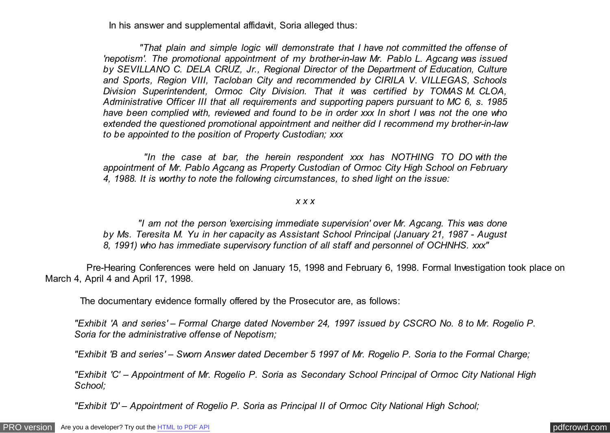In his answer and supplemental affidavit, Soria alleged thus:

 *"That plain and simple logic will demonstrate that I have not committed the offense of 'nepotism'. The promotional appointment of my brother-in-law Mr. Pablo L. Agcang was issued by SEVILLANO C. DELA CRUZ, Jr., Regional Director of the Department of Education, Culture and Sports, Region VIII, Tacloban City and recommended by CIRILA V. VILLEGAS, Schools Division Superintendent, Ormoc City Division. That it was certified by TOMAS M. CLOA, Administrative Officer III that all requirements and supporting papers pursuant to MC 6, s. 1985 have been complied with, reviewed and found to be in order xxx In short I was not the one who extended the questioned promotional appointment and neither did I recommend my brother-in-law to be appointed to the position of Property Custodian; xxx*

 *"In the case at bar, the herein respondent xxx has NOTHING TO DO with the appointment of Mr. Pablo Agcang as Property Custodian of Ormoc City High School on February 4, 1988. It is worthy to note the following circumstances, to shed light on the issue:*

## *x x x*

 *"I am not the person 'exercising immediate supervision' over Mr. Agcang. This was done by Ms. Teresita M. Yu in her capacity as Assistant School Principal (January 21, 1987 - August 8, 1991) who has immediate supervisory function of all staff and personnel of OCHNHS. xxx"*

 Pre-Hearing Conferences were held on January 15, 1998 and February 6, 1998. Formal Investigation took place on March 4, April 4 and April 17, 1998.

The documentary evidence formally offered by the Prosecutor are, as follows:

*"Exhibit 'A and series' – Formal Charge dated November 24, 1997 issued by CSCRO No. 8 to Mr. Rogelio P. Soria for the administrative offense of Nepotism;*

*"Exhibit 'B and series' – Sworn Answer dated December 5 1997 of Mr. Rogelio P. Soria to the Formal Charge;*

*"Exhibit 'C' – Appointment of Mr. Rogelio P. Soria as Secondary School Principal of Ormoc City National High School;*

*"Exhibit 'D' – Appointment of Rogelio P. Soria as Principal II of Ormoc City National High School;*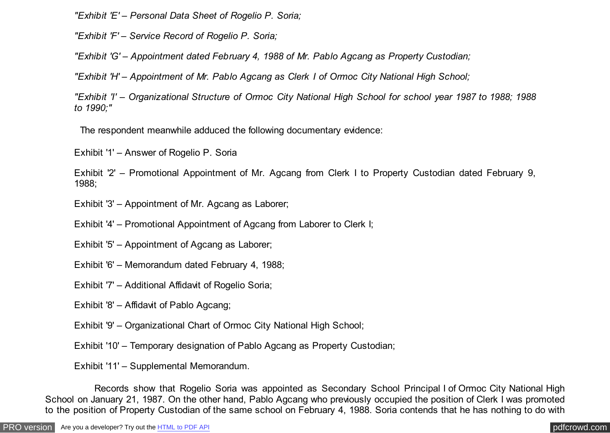*"Exhibit 'E' – Personal Data Sheet of Rogelio P. Soria;*

*"Exhibit 'F' – Service Record of Rogelio P. Soria;*

*"Exhibit 'G' – Appointment dated February 4, 1988 of Mr. Pablo Agcang as Property Custodian;*

*"Exhibit 'H' – Appointment of Mr. Pablo Agcang as Clerk I of Ormoc City National High School;*

*"Exhibit 'I' – Organizational Structure of Ormoc City National High School for school year 1987 to 1988; 1988 to 1990;"*

The respondent meanwhile adduced the following documentary evidence:

Exhibit '1' – Answer of Rogelio P. Soria

Exhibit '2' – Promotional Appointment of Mr. Agcang from Clerk I to Property Custodian dated February 9, 1988;

Exhibit '3' – Appointment of Mr. Agcang as Laborer;

Exhibit '4' – Promotional Appointment of Agcang from Laborer to Clerk I;

Exhibit '5' – Appointment of Agcang as Laborer;

Exhibit '6' – Memorandum dated February 4, 1988;

Exhibit '7' – Additional Affidavit of Rogelio Soria;

Exhibit '8' – Affidavit of Pablo Agcang;

Exhibit '9' – Organizational Chart of Ormoc City National High School;

Exhibit '10' – Temporary designation of Pablo Agcang as Property Custodian;

Exhibit '11' – Supplemental Memorandum.

 Records show that Rogelio Soria was appointed as Secondary School Principal I of Ormoc City National High School on January 21, 1987. On the other hand, Pablo Agcang who previously occupied the position of Clerk I was promoted to the position of Property Custodian of the same school on February 4, 1988. Soria contends that he has nothing to do with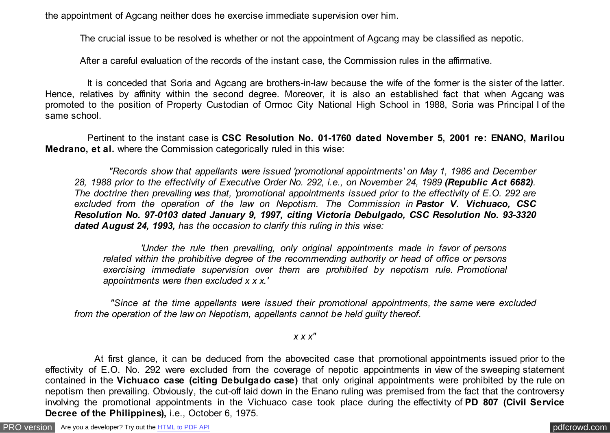the appointment of Agcang neither does he exercise immediate supervision over him.

The crucial issue to be resolved is whether or not the appointment of Agcang may be classified as nepotic.

After a careful evaluation of the records of the instant case, the Commission rules in the affirmative.

 It is conceded that Soria and Agcang are brothers-in-law because the wife of the former is the sister of the latter. Hence, relatives by affinity within the second degree. Moreover, it is also an established fact that when Agcang was promoted to the position of Property Custodian of Ormoc City National High School in 1988, Soria was Principal I of the same school.

 Pertinent to the instant case is **CSC Resolution No. 01-1760 dated November 5, 2001 re: ENANO, Marilou Medrano, et al.** where the Commission categorically ruled in this wise:

 *"Records show that appellants were issued 'promotional appointments' on May 1, 1986 and December 28, 1988 prior to the effectivity of Executive Order No. 292, i.e., on November 24, 1989 (Republic Act 6682). The doctrine then prevailing was that, 'promotional appointments issued prior to the effectivity of E.O. 292 are excluded from the operation of the law on Nepotism. The Commission in Pastor V. Vichuaco, CSC Resolution No. 97-0103 dated January 9, 1997, citing Victoria Debulgado, CSC Resolution No. 93-3320 dated August 24, 1993, has the occasion to clarify this ruling in this wise:*

 *'Under the rule then prevailing, only original appointments made in favor of persons related within the prohibitive degree of the recommending authority or head of office or persons exercising immediate supervision over them are prohibited by nepotism rule. Promotional appointments were then excluded x x x.'*

 *"Since at the time appellants were issued their promotional appointments, the same were excluded from the operation of the law on Nepotism, appellants cannot be held guilty thereof.*

*x x x"*

 At first glance, it can be deduced from the abovecited case that promotional appointments issued prior to the effectivity of E.O. No. 292 were excluded from the coverage of nepotic appointments in view of the sweeping statement contained in the **Vichuaco case (citing Debulgado case)** that only original appointments were prohibited by the rule on nepotism then prevailing. Obviously, the cut-off laid down in the Enano ruling was premised from the fact that the controversy involving the promotional appointments in the Vichuaco case took place during the effectivity of **PD 807 (Civil Service Decree of the Philippines),** i.e., October 6, 1975.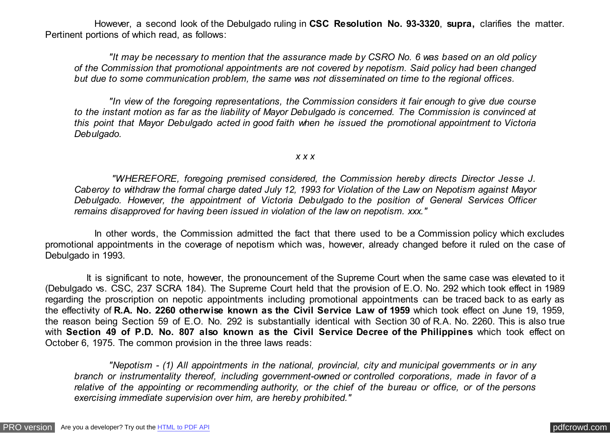However, a second look of the Debulgado ruling in **CSC Resolution No. 93-3320**, **supra,** clarifies the matter. Pertinent portions of which read, as follows:

 *"It may be necessary to mention that the assurance made by CSRO No. 6 was based on an old policy of the Commission that promotional appointments are not covered by nepotism. Said policy had been changed but due to some communication problem, the same was not disseminated on time to the regional offices.*

 *"In view of the foregoing representations, the Commission considers it fair enough to give due course to the instant motion as far as the liability of Mayor Debulgado is concerned. The Commission is convinced at this point that Mayor Debulgado acted in good faith when he issued the promotional appointment to Victoria Debulgado.*

## *x x x*

 *"WHEREFORE, foregoing premised considered, the Commission hereby directs Director Jesse J. Caberoy to withdraw the formal charge dated July 12, 1993 for Violation of the Law on Nepotism against Mayor Debulgado. However, the appointment of Victoria Debulgado to the position of General Services Officer remains disapproved for having been issued in violation of the law on nepotism. xxx."*

 In other words, the Commission admitted the fact that there used to be a Commission policy which excludes promotional appointments in the coverage of nepotism which was, however, already changed before it ruled on the case of Debulgado in 1993.

 It is significant to note, however, the pronouncement of the Supreme Court when the same case was elevated to it (Debulgado vs. CSC, 237 SCRA 184). The Supreme Court held that the provision of E.O. No. 292 which took effect in 1989 regarding the proscription on nepotic appointments including promotional appointments can be traced back to as early as the effectivity of **R.A. No. 2260 otherwise known as the Civil Service Law of 1959** which took effect on June 19, 1959, the reason being Section 59 of E.O. No. 292 is substantially identical with Section 30 of R.A. No. 2260. This is also true with **Section 49 of P.D. No. 807 also known as the Civil Service Decree of the Philippines** which took effect on October 6, 1975. The common provision in the three laws reads:

 *"Nepotism - (1) All appointments in the national, provincial, city and municipal governments or in any branch or instrumentality thereof, including government-owned or controlled corporations, made in favor of a relative of the appointing or recommending authority, or the chief of the bureau or office, or of the persons exercising immediate supervision over him, are hereby prohibited."*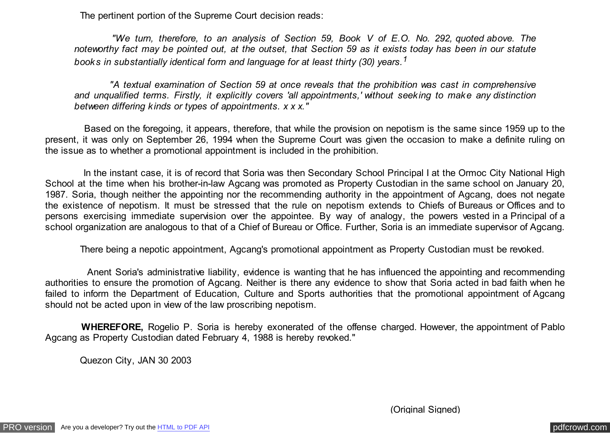The pertinent portion of the Supreme Court decision reads:

 *"We turn, therefore, to an analysis of Section 59, Book V of E.O. No. 292, quoted above. The noteworthy fact may be pointed out, at the outset, that Section 59 as it exists today has been in our statute books in substantially identical form and language for at least thirty (30) years.<sup>1</sup>*

 *"A textual examination of Section 59 at once reveals that the prohibition was cast in comprehensive and unqualified terms. Firstly, it explicitly covers 'all appointments,' without seeking to make any distinction between differing kinds or types of appointments. x x x."*

 Based on the foregoing, it appears, therefore, that while the provision on nepotism is the same since 1959 up to the present, it was only on September 26, 1994 when the Supreme Court was given the occasion to make a definite ruling on the issue as to whether a promotional appointment is included in the prohibition.

In the instant case, it is of record that Soria was then Secondary School Principal I at the Ormoc City National High School at the time when his brother-in-law Agcang was promoted as Property Custodian in the same school on January 20, 1987. Soria, though neither the appointing nor the recommending authority in the appointment of Agcang, does not negate the existence of nepotism. It must be stressed that the rule on nepotism extends to Chiefs of Bureaus or Offices and to persons exercising immediate supervision over the appointee. By way of analogy, the powers vested in a Principal of a school organization are analogous to that of a Chief of Bureau or Office. Further, Soria is an immediate supervisor of Agcang.

There being a nepotic appointment, Agcang's promotional appointment as Property Custodian must be revoked.

 Anent Soria's administrative liability, evidence is wanting that he has influenced the appointing and recommending authorities to ensure the promotion of Agcang. Neither is there any evidence to show that Soria acted in bad faith when he failed to inform the Department of Education, Culture and Sports authorities that the promotional appointment of Agcang should not be acted upon in view of the law proscribing nepotism.

 **WHEREFORE,** Rogelio P. Soria is hereby exonerated of the offense charged. However, the appointment of Pablo Agcang as Property Custodian dated February 4, 1988 is hereby revoked."

Quezon City, JAN 30 2003